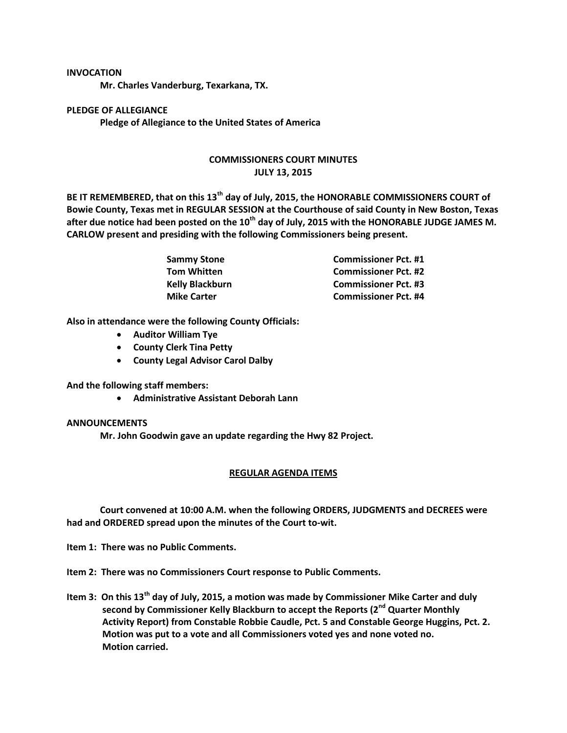## **INVOCATION**

**Mr. Charles Vanderburg, Texarkana, TX.**

**PLEDGE OF ALLEGIANCE Pledge of Allegiance to the United States of America**

## **COMMISSIONERS COURT MINUTES JULY 13, 2015**

**BE IT REMEMBERED, that on this 13th day of July, 2015, the HONORABLE COMMISSIONERS COURT of Bowie County, Texas met in REGULAR SESSION at the Courthouse of said County in New Boston, Texas after due notice had been posted on the 10th day of July, 2015 with the HONORABLE JUDGE JAMES M. CARLOW present and presiding with the following Commissioners being present.**

| Sammy Stone        | <b>Commissioner Pct. #1</b> |
|--------------------|-----------------------------|
| Tom Whitten        | <b>Commissioner Pct. #2</b> |
| Kelly Blackburn    | <b>Commissioner Pct. #3</b> |
| <b>Mike Carter</b> | <b>Commissioner Pct. #4</b> |

**Also in attendance were the following County Officials:**

- **Auditor William Tye**
- **County Clerk Tina Petty**
- **County Legal Advisor Carol Dalby**

**And the following staff members:**

**Administrative Assistant Deborah Lann**

## **ANNOUNCEMENTS**

**Mr. John Goodwin gave an update regarding the Hwy 82 Project.**

## **REGULAR AGENDA ITEMS**

**Court convened at 10:00 A.M. when the following ORDERS, JUDGMENTS and DECREES were had and ORDERED spread upon the minutes of the Court to-wit.**

**Item 1: There was no Public Comments.**

**Item 2: There was no Commissioners Court response to Public Comments.**

**Item 3: On this 13th day of July, 2015, a motion was made by Commissioner Mike Carter and duly second by Commissioner Kelly Blackburn to accept the Reports (2nd Quarter Monthly Activity Report) from Constable Robbie Caudle, Pct. 5 and Constable George Huggins, Pct. 2. Motion was put to a vote and all Commissioners voted yes and none voted no. Motion carried.**